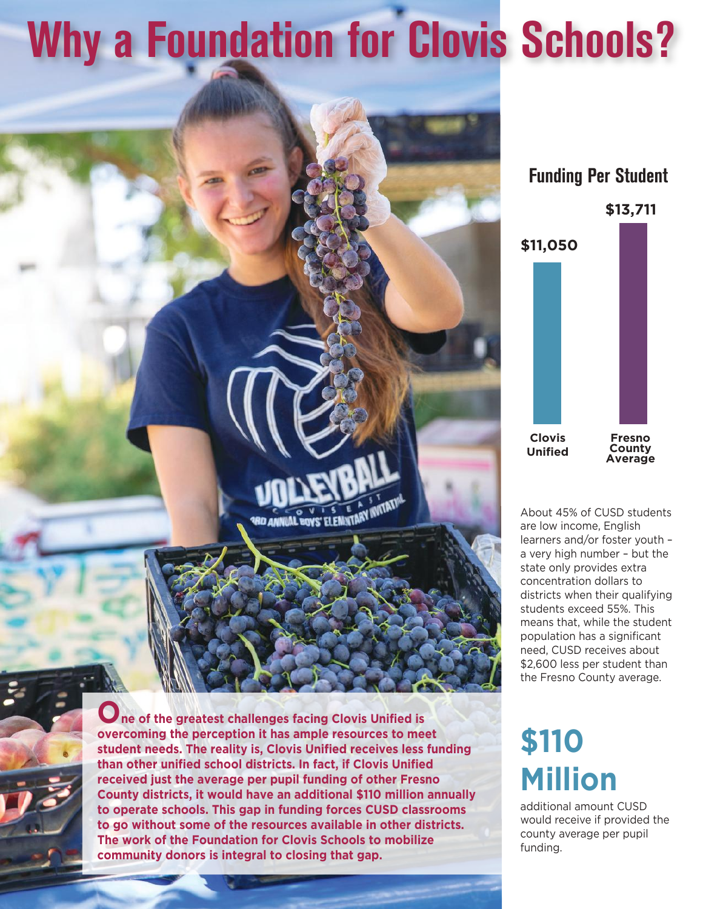# **Why a Foundation for Clovis Schools?**

### **Funding Per Student**



About 45% of CUSD students are low income, English learners and/or foster youth – a very high number – but the state only provides extra concentration dollars to districts when their qualifying students exceed 55%. This means that, while the student population has a significant need, CUSD receives about \$2,600 less per student than the Fresno County average.

### **\$110 Million**

additional amount CUSD would receive if provided the county average per pupil funding.

**O** ne of the greatest challenges facing Clovis Unified is **overcoming the perception it has ample resources to meet student needs. The reality is, Clovis Unified receives less funding than other unified school districts. In fact, if Clovis Unified received just the average per pupil funding of other Fresno County districts, it would have an additional \$110 million annually to operate schools. This gap in funding forces CUSD classrooms to go without some of the resources available in other districts. The work of the Foundation for Clovis Schools to mobilize community donors is integral to closing that gap.**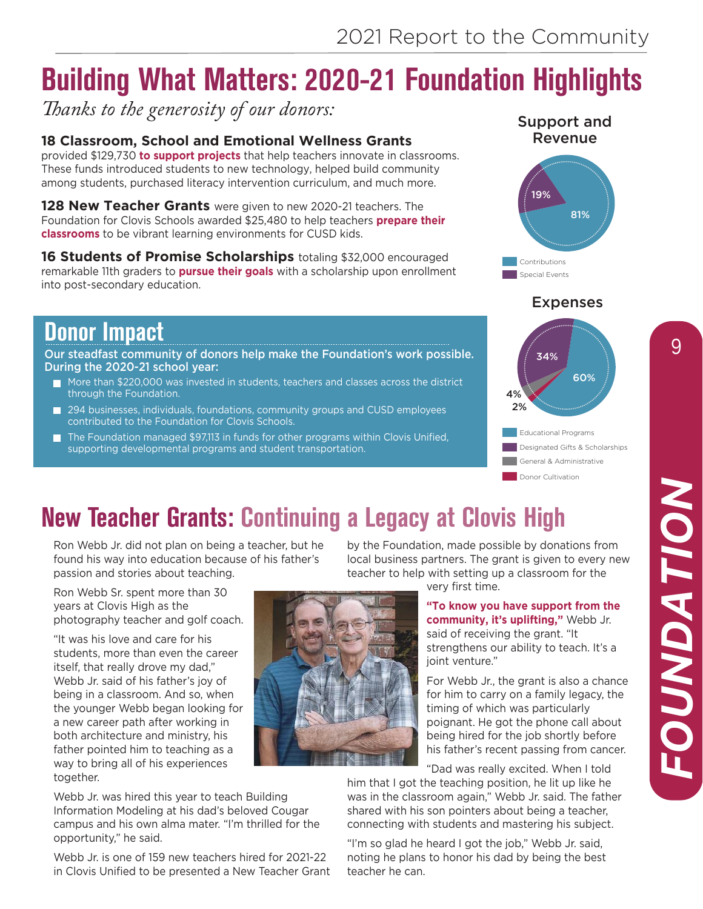### **Building What Matters: 2020-21 Foundation Highlights**

*Thanks to the generosity of our donors:* 

### **18 Classroom, School and Emotional Wellness Grants**

provided \$129,730 **to support projects** that help teachers innovate in classrooms. These funds introduced students to new technology, helped build community among students, purchased literacy intervention curriculum, and much more.

**128 New Teacher Grants** were given to new 2020-21 teachers. The Foundation for Clovis Schools awarded \$25,480 to help teachers **prepare their classrooms** to be vibrant learning environments for CUSD kids.

**16 Students of Promise Scholarships** totaling \$32,000 encouraged remarkable 11th graders to **pursue their goals** with a scholarship upon enrollment into post-secondary education.

### **Donor Impact**

Our steadfast community of donors help make the Foundation's work possible. During the 2020-21 school year:

- $\blacksquare$  More than \$220,000 was invested in students, teachers and classes across the district through the Foundation.
- 294 businesses, individuals, foundations, community groups and CUSD employees contributed to the Foundation for Clovis Schools.
- The Foundation managed \$97,113 in funds for other programs within Clovis Unified, П supporting developmental programs and student transportation.





#### Expenses



Donor Cultivation General & Administrative **Educational Programs** Designated Gifts & Scholarships

### **New Teacher Grants: Continuing a Legacy at Clovis High**

Ron Webb Jr. did not plan on being a teacher, but he found his way into education because of his father's passion and stories about teaching.

Ron Webb Sr. spent more than 30 years at Clovis High as the photography teacher and golf coach.

"It was his love and care for his students, more than even the career itself, that really drove my dad," Webb Jr. said of his father's joy of being in a classroom. And so, when the younger Webb began looking for a new career path after working in both architecture and ministry, his father pointed him to teaching as a way to bring all of his experiences together.

Webb Jr. was hired this year to teach Building Information Modeling at his dad's beloved Cougar campus and his own alma mater. "I'm thrilled for the opportunity," he said.

Webb Jr. is one of 159 new teachers hired for 2021-22 in Clovis Unified to be presented a New Teacher Grant by the Foundation, made possible by donations from local business partners. The grant is given to every new teacher to help with setting up a classroom for the

very first time.

**"To know you have support from the community, it's uplifting,"** Webb Jr. said of receiving the grant. "It strengthens our ability to teach. It's a ioint venture."

For Webb Jr., the grant is also a chance for him to carry on a family legacy, the timing of which was particularly poignant. He got the phone call about being hired for the job shortly before his father's recent passing from cancer.

"Dad was really excited. When I told

him that I got the teaching position, he lit up like he was in the classroom again," Webb Jr. said. The father shared with his son pointers about being a teacher, connecting with students and mastering his subject.

"I'm so glad he heard I got the job," Webb Jr. said, noting he plans to honor his dad by being the best teacher he can.

9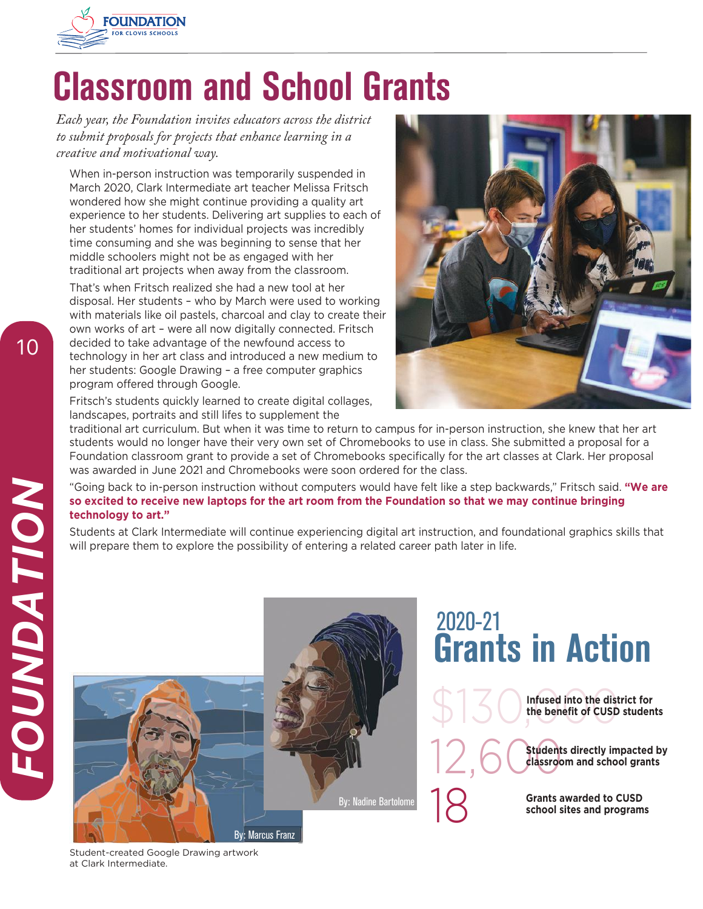

# **Classroom and School Grants**

*Each year, the Foundation invites educators across the district to submit proposals for projects that enhance learning in a creative and motivational way.* 

When in-person instruction was temporarily suspended in March 2020, Clark Intermediate art teacher Melissa Fritsch wondered how she might continue providing a quality art experience to her students. Delivering art supplies to each of her students' homes for individual projects was incredibly time consuming and she was beginning to sense that her middle schoolers might not be as engaged with her traditional art projects when away from the classroom.

That's when Fritsch realized she had a new tool at her disposal. Her students – who by March were used to working with materials like oil pastels, charcoal and clay to create their own works of art – were all now digitally connected. Fritsch decided to take advantage of the newfound access to technology in her art class and introduced a new medium to her students: Google Drawing – a free computer graphics program offered through Google.

Fritsch's students quickly learned to create digital collages, landscapes, portraits and still lifes to supplement the



traditional art curriculum. But when it was time to return to campus for in-person instruction, she knew that her art students would no longer have their very own set of Chromebooks to use in class. She submitted a proposal for a Foundation classroom grant to provide a set of Chromebooks specifically for the art classes at Clark. Her proposal was awarded in June 2021 and Chromebooks were soon ordered for the class.

"Going back to in-person instruction without computers would have felt like a step backwards," Fritsch said. **"We are so excited to receive new laptops for the art room from the Foundation so that we may continue bringing technology to art."**

Students at Clark Intermediate will continue experiencing digital art instruction, and foundational graphics skills that will prepare them to explore the possibility of entering a related career path later in life.



Student-created Google Drawing artwork at Clark Intermediate.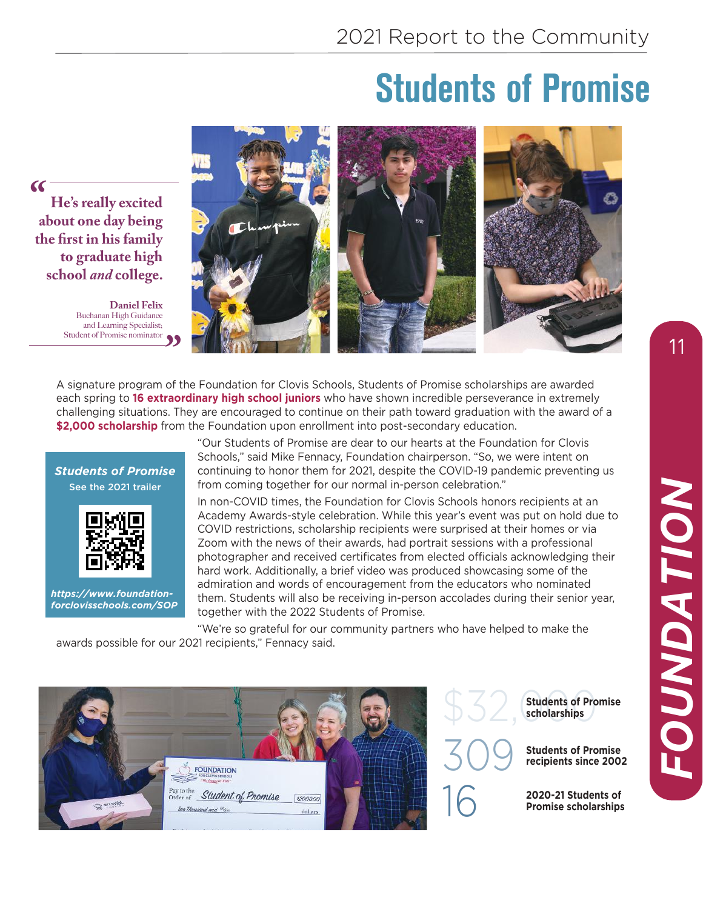### **Students of Promise**

**He's really excited about one day being the first in his family to graduate high school** *and* **college.**  *"*

> **Daniel Felix** Buchanan High Guidance and Learning Specialist; Student of Promise nominator



each spring to **16 extraordinary high school juniors** who have shown incredible perseverance in extremely challenging situations. They are encouraged to continue on their path toward graduation with the award of a **\$2,000 scholarship** from the Foundation upon enrollment into post-secondary education.





*https://www.foundationforclovisschools.com/SOP* "Our Students of Promise are dear to our hearts at the Foundation for Clovis Schools," said Mike Fennacy, Foundation chairperson. "So, we were intent on continuing to honor them for 2021, despite the COVID-19 pandemic preventing us from coming together for our normal in-person celebration."

In non-COVID times, the Foundation for Clovis Schools honors recipients at an Academy Awards-style celebration. While this year's event was put on hold due to COVID restrictions, scholarship recipients were surprised at their homes or via Zoom with the news of their awards, had portrait sessions with a professional photographer and received certificates from elected officials acknowledging their hard work. Additionally, a brief video was produced showcasing some of the admiration and words of encouragement from the educators who nominated them. Students will also be receiving in-person accolades during their senior year, together with the 2022 Students of Promise.

"We're so grateful for our community partners who have helped to make the awards possible for our 2021 recipients," Fennacy said.



**Students of Promise scholarships** 

**Students of Promise recipients since 2002**

16 **2020-21 Students of Promise scholarships**